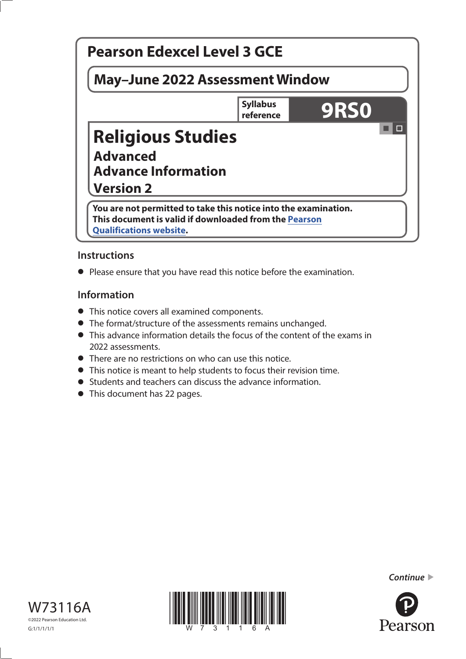# a la **Pearson Edexcel Level 3 GCE May–June 2022 Assessment Window Syllabus Syllabus** 9RS0 **Religious Studies Advanced Advance Information Version 2 You are not permitted to take this notice into the examination. This document is valid if downloaded from the [Pearson](http://qualifications.pearson.com)  Qualifications [website](http://qualifications.pearson.com).**

# **Instructions**

**•** Please ensure that you have read this notice before the examination.

# **Information**

- **•** This notice covers all examined components.
- **•** The format/structure of the assessments remains unchanged.
- **•** This advance information details the focus of the content of the exams in 2022 assessments.
- **•** There are no restrictions on who can use this notice.
- **•** This notice is meant to help students to focus their revision time.
- **•** Students and teachers can discuss the advance information.
- **•** This document has 22 pages.





*Continue* 

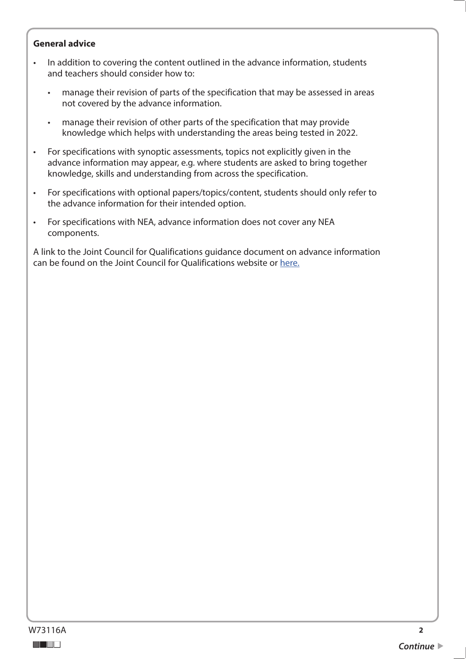#### **General advice**

- In addition to covering the content outlined in the advance information, students and teachers should consider how to:
	- manage their revision of parts of the specification that may be assessed in areas not covered by the advance information.
	- manage their revision of other parts of the specification that may provide knowledge which helps with understanding the areas being tested in 2022.
- For specifications with synoptic assessments, topics not explicitly given in the advance information may appear, e.g. where students are asked to bring together knowledge, skills and understanding from across the specification.
- For specifications with optional papers/topics/content, students should only refer to the advance information for their intended option.
- For specifications with NEA, advance information does not cover any NEA components.

A link to the Joint Council for Qualifications guidance document on advance information can be found on the Joint Council for Qualifications website or [here.](https://www.jcq.org.uk/wp-content/uploads/2021/10/Advance-Information-for-General-Qualifications-2021-22.pdf)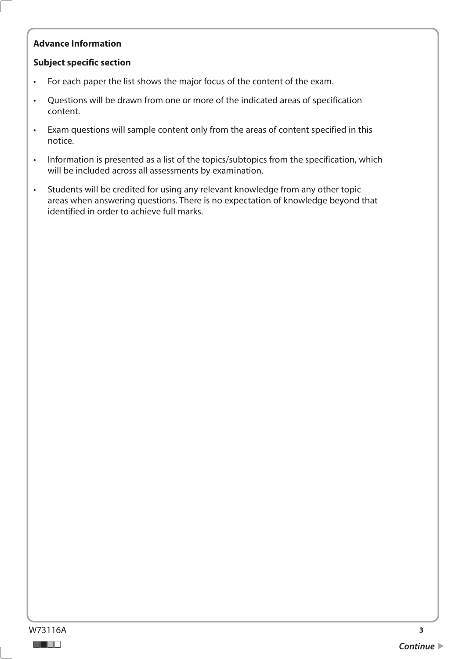## **Advance Information**

## **Subject specific section**

- For each paper the list shows the major focus of the content of the exam.
- Questions will be drawn from one or more of the indicated areas of specification content.
- Exam questions will sample content only from the areas of content specified in this notice.
- Information is presented as a list of the topics/subtopics from the specification, which will be included across all assessments by examination.
- Students will be credited for using any relevant knowledge from any other topic areas when answering questions. There is no expectation of knowledge beyond that identified in order to achieve full marks.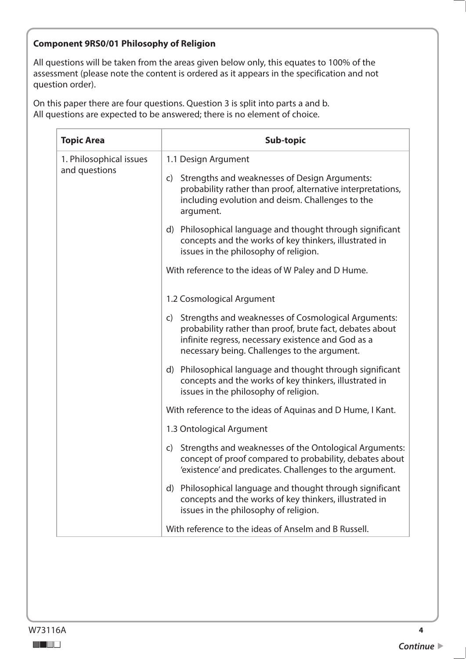#### **Component 9RS0/01 Philosophy of Religion**

All questions will be taken from the areas given below only, this equates to 100% of the assessment (please note the content is ordered as it appears in the specification and not question order).

| <b>Topic Area</b>                        | <b>Sub-topic</b>                                                                                                                                                                                                            |
|------------------------------------------|-----------------------------------------------------------------------------------------------------------------------------------------------------------------------------------------------------------------------------|
| 1. Philosophical issues<br>and questions | 1.1 Design Argument                                                                                                                                                                                                         |
|                                          | Strengths and weaknesses of Design Arguments:<br>C)<br>probability rather than proof, alternative interpretations,<br>including evolution and deism. Challenges to the<br>argument.                                         |
|                                          | Philosophical language and thought through significant<br>d)<br>concepts and the works of key thinkers, illustrated in<br>issues in the philosophy of religion.                                                             |
|                                          | With reference to the ideas of W Paley and D Hume.                                                                                                                                                                          |
|                                          | 1.2 Cosmological Argument                                                                                                                                                                                                   |
|                                          | Strengths and weaknesses of Cosmological Arguments:<br>C)<br>probability rather than proof, brute fact, debates about<br>infinite regress, necessary existence and God as a<br>necessary being. Challenges to the argument. |
|                                          | Philosophical language and thought through significant<br>$\mathsf{d}$<br>concepts and the works of key thinkers, illustrated in<br>issues in the philosophy of religion.                                                   |
|                                          | With reference to the ideas of Aquinas and D Hume, I Kant.                                                                                                                                                                  |
|                                          | 1.3 Ontological Argument                                                                                                                                                                                                    |
|                                          | Strengths and weaknesses of the Ontological Arguments:<br>$\mathsf{C}$<br>concept of proof compared to probability, debates about<br>'existence' and predicates. Challenges to the argument.                                |
|                                          | Philosophical language and thought through significant<br>d)<br>concepts and the works of key thinkers, illustrated in<br>issues in the philosophy of religion.                                                             |
|                                          | With reference to the ideas of Anselm and B Russell.                                                                                                                                                                        |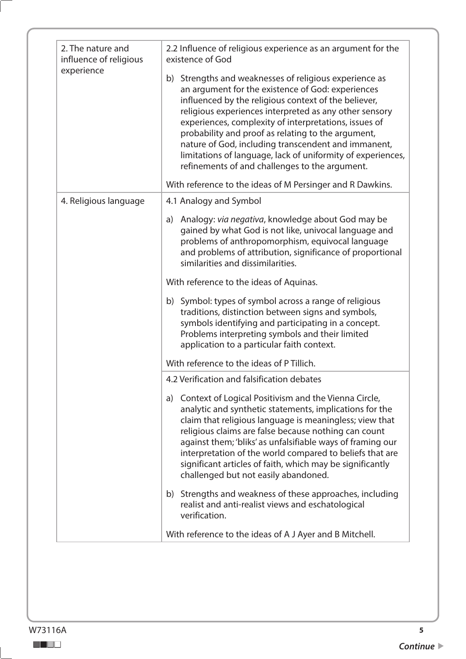| 2. The nature and<br>influence of religious<br>experience | 2.2 Influence of religious experience as an argument for the<br>existence of God                                                                                                                                                                                                                                                                                                                                                                                                                                     |
|-----------------------------------------------------------|----------------------------------------------------------------------------------------------------------------------------------------------------------------------------------------------------------------------------------------------------------------------------------------------------------------------------------------------------------------------------------------------------------------------------------------------------------------------------------------------------------------------|
|                                                           | b) Strengths and weaknesses of religious experience as<br>an argument for the existence of God: experiences<br>influenced by the religious context of the believer,<br>religious experiences interpreted as any other sensory<br>experiences, complexity of interpretations, issues of<br>probability and proof as relating to the argument,<br>nature of God, including transcendent and immanent,<br>limitations of language, lack of uniformity of experiences,<br>refinements of and challenges to the argument. |
|                                                           | With reference to the ideas of M Persinger and R Dawkins.                                                                                                                                                                                                                                                                                                                                                                                                                                                            |
| 4. Religious language                                     | 4.1 Analogy and Symbol                                                                                                                                                                                                                                                                                                                                                                                                                                                                                               |
|                                                           | a) Analogy: via negativa, knowledge about God may be<br>gained by what God is not like, univocal language and<br>problems of anthropomorphism, equivocal language<br>and problems of attribution, significance of proportional<br>similarities and dissimilarities.                                                                                                                                                                                                                                                  |
|                                                           | With reference to the ideas of Aquinas.                                                                                                                                                                                                                                                                                                                                                                                                                                                                              |
|                                                           | b) Symbol: types of symbol across a range of religious<br>traditions, distinction between signs and symbols,<br>symbols identifying and participating in a concept.<br>Problems interpreting symbols and their limited<br>application to a particular faith context.                                                                                                                                                                                                                                                 |
|                                                           | With reference to the ideas of P Tillich.                                                                                                                                                                                                                                                                                                                                                                                                                                                                            |
|                                                           | 4.2 Verification and falsification debates                                                                                                                                                                                                                                                                                                                                                                                                                                                                           |
|                                                           | a) Context of Logical Positivism and the Vienna Circle,<br>analytic and synthetic statements, implications for the<br>claim that religious language is meaningless; view that<br>religious claims are false because nothing can count<br>against them; 'bliks' as unfalsifiable ways of framing our<br>interpretation of the world compared to beliefs that are<br>significant articles of faith, which may be significantly<br>challenged but not easily abandoned.                                                 |
|                                                           | b) Strengths and weakness of these approaches, including<br>realist and anti-realist views and eschatological<br>verification.                                                                                                                                                                                                                                                                                                                                                                                       |
|                                                           | With reference to the ideas of A J Ayer and B Mitchell.                                                                                                                                                                                                                                                                                                                                                                                                                                                              |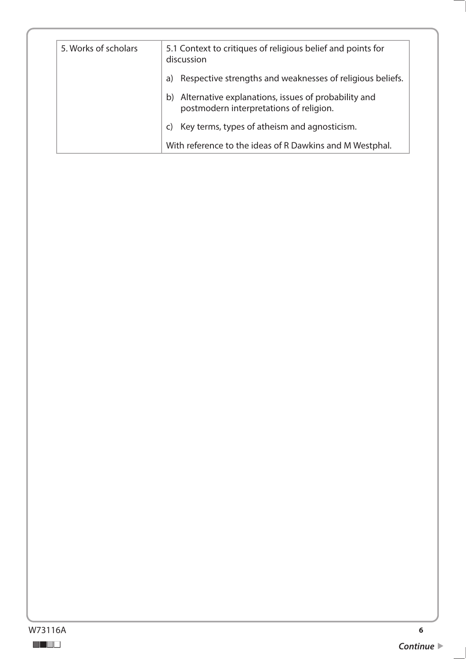| 5. Works of scholars | 5.1 Context to critiques of religious belief and points for<br>discussion                         |
|----------------------|---------------------------------------------------------------------------------------------------|
|                      | Respective strengths and weaknesses of religious beliefs.<br>a)                                   |
|                      | b) Alternative explanations, issues of probability and<br>postmodern interpretations of religion. |
|                      | Key terms, types of atheism and agnosticism.<br>C)                                                |
|                      | With reference to the ideas of R Dawkins and M Westphal.                                          |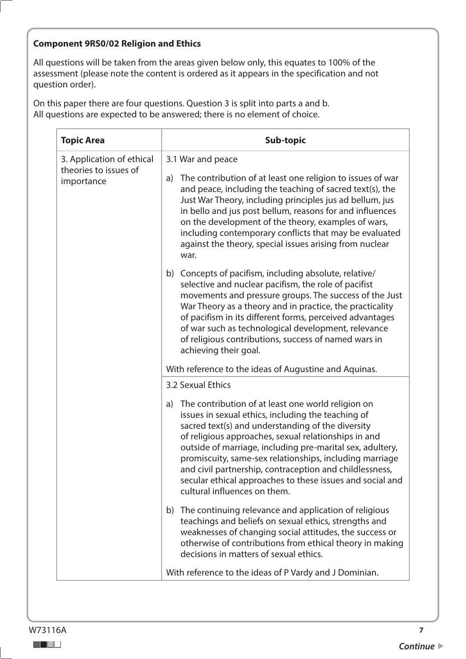#### **Component 9RS0/02 Religion and Ethics**

All questions will be taken from the areas given below only, this equates to 100% of the assessment (please note the content is ordered as it appears in the specification and not question order).

| <b>Topic Area</b>                                                | Sub-topic                                                                                                                                                                                                                                                                                                                                                                                                                                                                                                   |
|------------------------------------------------------------------|-------------------------------------------------------------------------------------------------------------------------------------------------------------------------------------------------------------------------------------------------------------------------------------------------------------------------------------------------------------------------------------------------------------------------------------------------------------------------------------------------------------|
| 3. Application of ethical<br>theories to issues of<br>importance | 3.1 War and peace                                                                                                                                                                                                                                                                                                                                                                                                                                                                                           |
|                                                                  | The contribution of at least one religion to issues of war<br>a)<br>and peace, including the teaching of sacred text(s), the<br>Just War Theory, including principles jus ad bellum, jus<br>in bello and jus post bellum, reasons for and influences<br>on the development of the theory, examples of wars,<br>including contemporary conflicts that may be evaluated<br>against the theory, special issues arising from nuclear<br>war.                                                                    |
|                                                                  | Concepts of pacifism, including absolute, relative/<br>b)<br>selective and nuclear pacifism, the role of pacifist<br>movements and pressure groups. The success of the Just<br>War Theory as a theory and in practice, the practicality<br>of pacifism in its different forms, perceived advantages<br>of war such as technological development, relevance<br>of religious contributions, success of named wars in<br>achieving their goal.                                                                 |
|                                                                  | With reference to the ideas of Augustine and Aquinas.                                                                                                                                                                                                                                                                                                                                                                                                                                                       |
|                                                                  | 3.2 Sexual Ethics                                                                                                                                                                                                                                                                                                                                                                                                                                                                                           |
|                                                                  | The contribution of at least one world religion on<br>a)<br>issues in sexual ethics, including the teaching of<br>sacred text(s) and understanding of the diversity<br>of religious approaches, sexual relationships in and<br>outside of marriage, including pre-marital sex, adultery,<br>promiscuity, same-sex relationships, including marriage<br>and civil partnership, contraception and childlessness,<br>secular ethical approaches to these issues and social and<br>cultural influences on them. |
|                                                                  | b) The continuing relevance and application of religious<br>teachings and beliefs on sexual ethics, strengths and<br>weaknesses of changing social attitudes, the success or<br>otherwise of contributions from ethical theory in making<br>decisions in matters of sexual ethics.                                                                                                                                                                                                                          |
|                                                                  | With reference to the ideas of P Vardy and J Dominian.                                                                                                                                                                                                                                                                                                                                                                                                                                                      |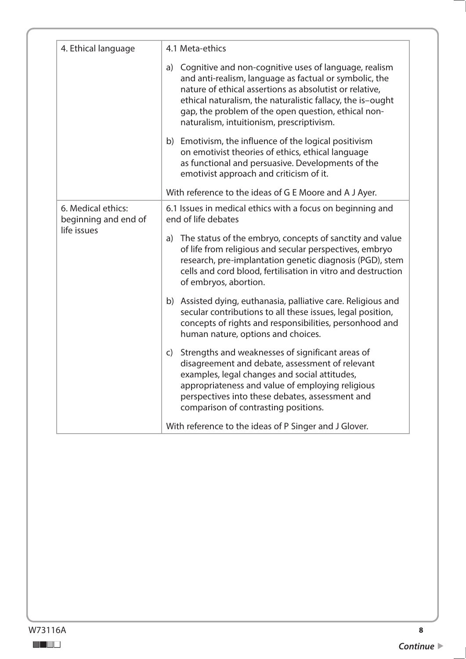| 4. Ethical language                                       | 4.1 Meta-ethics                                                                                                                                                                                                                                                                                                                                 |
|-----------------------------------------------------------|-------------------------------------------------------------------------------------------------------------------------------------------------------------------------------------------------------------------------------------------------------------------------------------------------------------------------------------------------|
|                                                           | a) Cognitive and non-cognitive uses of language, realism<br>and anti-realism, language as factual or symbolic, the<br>nature of ethical assertions as absolutist or relative,<br>ethical naturalism, the naturalistic fallacy, the is-ought<br>gap, the problem of the open question, ethical non-<br>naturalism, intuitionism, prescriptivism. |
|                                                           | b) Emotivism, the influence of the logical positivism<br>on emotivist theories of ethics, ethical language<br>as functional and persuasive. Developments of the<br>emotivist approach and criticism of it.                                                                                                                                      |
|                                                           | With reference to the ideas of G E Moore and A J Ayer.                                                                                                                                                                                                                                                                                          |
| 6. Medical ethics:<br>beginning and end of<br>life issues | 6.1 Issues in medical ethics with a focus on beginning and<br>end of life debates                                                                                                                                                                                                                                                               |
|                                                           | a) The status of the embryo, concepts of sanctity and value<br>of life from religious and secular perspectives, embryo<br>research, pre-implantation genetic diagnosis (PGD), stem<br>cells and cord blood, fertilisation in vitro and destruction<br>of embryos, abortion.                                                                     |
|                                                           | b) Assisted dying, euthanasia, palliative care. Religious and<br>secular contributions to all these issues, legal position,<br>concepts of rights and responsibilities, personhood and<br>human nature, options and choices.                                                                                                                    |
|                                                           | c) Strengths and weaknesses of significant areas of<br>disagreement and debate, assessment of relevant<br>examples, legal changes and social attitudes,<br>appropriateness and value of employing religious<br>perspectives into these debates, assessment and<br>comparison of contrasting positions.                                          |
|                                                           | With reference to the ideas of P Singer and J Glover.                                                                                                                                                                                                                                                                                           |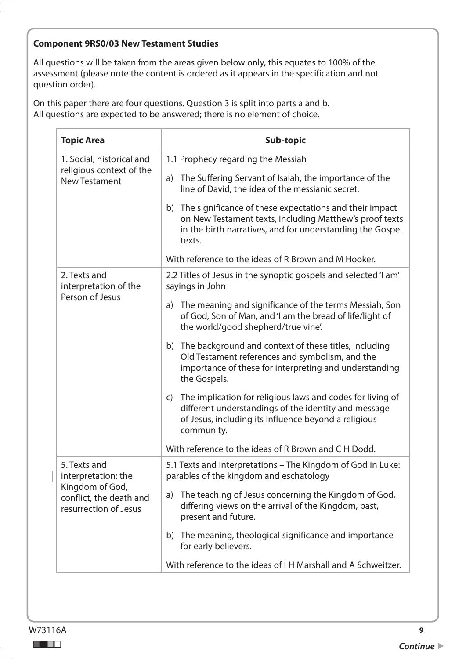#### **Component 9RS0/03 New Testament Studies**

All questions will be taken from the areas given below only, this equates to 100% of the assessment (please note the content is ordered as it appears in the specification and not question order).

| <b>Topic Area</b>                                                                                          | Sub-topic                                                                                                                                                                                                                                                                                                                                                                                                                                                                                                                                                                                                                                                                                                         |
|------------------------------------------------------------------------------------------------------------|-------------------------------------------------------------------------------------------------------------------------------------------------------------------------------------------------------------------------------------------------------------------------------------------------------------------------------------------------------------------------------------------------------------------------------------------------------------------------------------------------------------------------------------------------------------------------------------------------------------------------------------------------------------------------------------------------------------------|
| 1. Social, historical and<br>religious context of the<br><b>New Testament</b>                              | 1.1 Prophecy regarding the Messiah<br>The Suffering Servant of Isaiah, the importance of the<br>a)<br>line of David, the idea of the messianic secret.<br>The significance of these expectations and their impact<br>b)<br>on New Testament texts, including Matthew's proof texts<br>in the birth narratives, and for understanding the Gospel<br>texts.<br>With reference to the ideas of R Brown and M Hooker.                                                                                                                                                                                                                                                                                                 |
| 2. Texts and<br>interpretation of the<br>Person of Jesus                                                   | 2.2 Titles of Jesus in the synoptic gospels and selected 'I am'<br>sayings in John<br>The meaning and significance of the terms Messiah, Son<br>a)<br>of God, Son of Man, and 'I am the bread of life/light of<br>the world/good shepherd/true vine.<br>b) The background and context of these titles, including<br>Old Testament references and symbolism, and the<br>importance of these for interpreting and understanding<br>the Gospels.<br>The implication for religious laws and codes for living of<br>$\mathsf{C}$<br>different understandings of the identity and message<br>of Jesus, including its influence beyond a religious<br>community.<br>With reference to the ideas of R Brown and C H Dodd. |
| 5. Texts and<br>interpretation: the<br>Kingdom of God,<br>conflict, the death and<br>resurrection of Jesus | 5.1 Texts and interpretations – The Kingdom of God in Luke:<br>parables of the kingdom and eschatology<br>The teaching of Jesus concerning the Kingdom of God,<br>a)<br>differing views on the arrival of the Kingdom, past,<br>present and future.<br>The meaning, theological significance and importance<br>b)<br>for early believers.<br>With reference to the ideas of I H Marshall and A Schweitzer.                                                                                                                                                                                                                                                                                                        |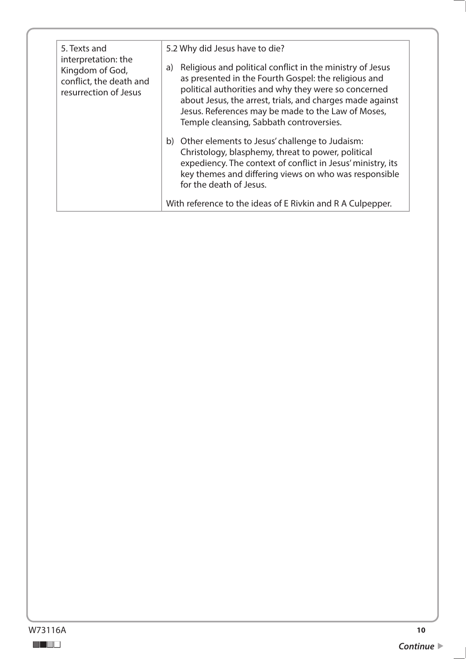| 5. Texts and<br>interpretation: the<br>Kingdom of God,<br>conflict, the death and<br>resurrection of Jesus | 5.2 Why did Jesus have to die?                                                                                                                                                                                                                                                                                                                 |
|------------------------------------------------------------------------------------------------------------|------------------------------------------------------------------------------------------------------------------------------------------------------------------------------------------------------------------------------------------------------------------------------------------------------------------------------------------------|
|                                                                                                            | Religious and political conflict in the ministry of Jesus<br>a)<br>as presented in the Fourth Gospel: the religious and<br>political authorities and why they were so concerned<br>about Jesus, the arrest, trials, and charges made against<br>Jesus. References may be made to the Law of Moses,<br>Temple cleansing, Sabbath controversies. |
|                                                                                                            | b) Other elements to Jesus' challenge to Judaism:<br>Christology, blasphemy, threat to power, political<br>expediency. The context of conflict in Jesus' ministry, its<br>key themes and differing views on who was responsible<br>for the death of Jesus.                                                                                     |
|                                                                                                            | With reference to the ideas of E Rivkin and R A Culpepper.                                                                                                                                                                                                                                                                                     |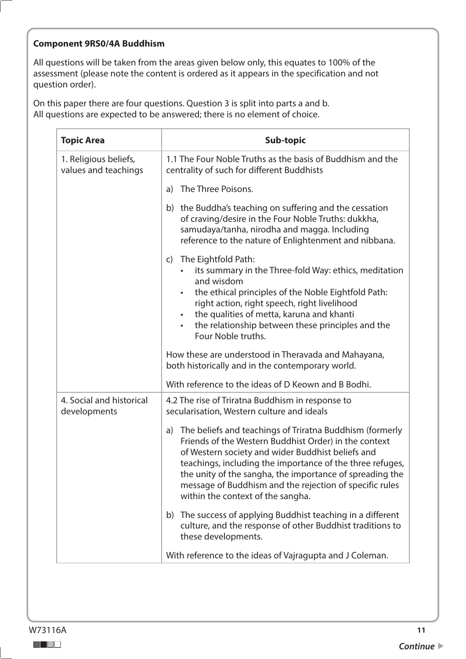#### **Component 9RS0/4A Buddhism**

All questions will be taken from the areas given below only, this equates to 100% of the assessment (please note the content is ordered as it appears in the specification and not question order).

| <b>Topic Area</b>                             | Sub-topic                                                                                                                                                                                                                                                                                                                                                                                             |
|-----------------------------------------------|-------------------------------------------------------------------------------------------------------------------------------------------------------------------------------------------------------------------------------------------------------------------------------------------------------------------------------------------------------------------------------------------------------|
| 1. Religious beliefs,<br>values and teachings | 1.1 The Four Noble Truths as the basis of Buddhism and the<br>centrality of such for different Buddhists                                                                                                                                                                                                                                                                                              |
|                                               | The Three Poisons.<br>a)                                                                                                                                                                                                                                                                                                                                                                              |
|                                               | b) the Buddha's teaching on suffering and the cessation<br>of craving/desire in the Four Noble Truths: dukkha,<br>samudaya/tanha, nirodha and magga. Including<br>reference to the nature of Enlightenment and nibbana.                                                                                                                                                                               |
|                                               | The Eightfold Path:<br>C)<br>its summary in the Three-fold Way: ethics, meditation<br>and wisdom<br>the ethical principles of the Noble Eightfold Path:<br>right action, right speech, right livelihood<br>the qualities of metta, karuna and khanti<br>٠<br>the relationship between these principles and the<br>$\bullet$<br>Four Noble truths.                                                     |
|                                               | How these are understood in Theravada and Mahayana,<br>both historically and in the contemporary world.                                                                                                                                                                                                                                                                                               |
|                                               | With reference to the ideas of D Keown and B Bodhi.                                                                                                                                                                                                                                                                                                                                                   |
| 4. Social and historical<br>developments      | 4.2 The rise of Triratna Buddhism in response to<br>secularisation, Western culture and ideals                                                                                                                                                                                                                                                                                                        |
|                                               | The beliefs and teachings of Triratna Buddhism (formerly<br>a)<br>Friends of the Western Buddhist Order) in the context<br>of Western society and wider Buddhist beliefs and<br>teachings, including the importance of the three refuges,<br>the unity of the sangha, the importance of spreading the<br>message of Buddhism and the rejection of specific rules<br>within the context of the sangha. |
|                                               | The success of applying Buddhist teaching in a different<br>b)<br>culture, and the response of other Buddhist traditions to<br>these developments.                                                                                                                                                                                                                                                    |
|                                               | With reference to the ideas of Vajragupta and J Coleman.                                                                                                                                                                                                                                                                                                                                              |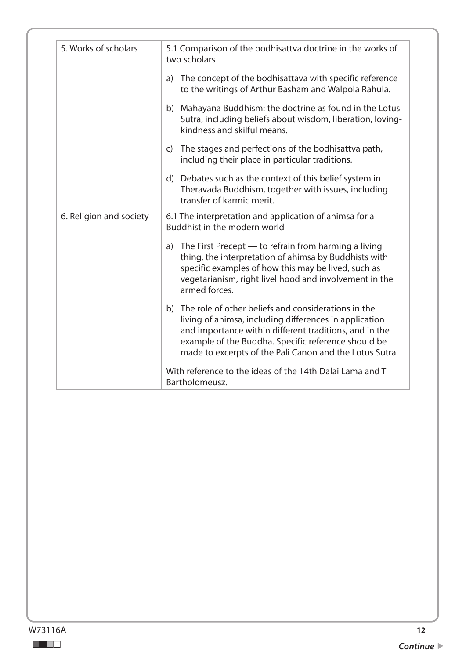| 5. Works of scholars    | 5.1 Comparison of the bodhisattva doctrine in the works of<br>two scholars                                                                                                                                                                                                                   |
|-------------------------|----------------------------------------------------------------------------------------------------------------------------------------------------------------------------------------------------------------------------------------------------------------------------------------------|
|                         | a) The concept of the bodhisattava with specific reference<br>to the writings of Arthur Basham and Walpola Rahula.                                                                                                                                                                           |
|                         | b) Mahayana Buddhism: the doctrine as found in the Lotus<br>Sutra, including beliefs about wisdom, liberation, loving-<br>kindness and skilful means.                                                                                                                                        |
|                         | c) The stages and perfections of the bodhisattva path,<br>including their place in particular traditions.                                                                                                                                                                                    |
|                         | d) Debates such as the context of this belief system in<br>Theravada Buddhism, together with issues, including<br>transfer of karmic merit.                                                                                                                                                  |
| 6. Religion and society | 6.1 The interpretation and application of ahimsa for a<br>Buddhist in the modern world                                                                                                                                                                                                       |
|                         | a) The First Precept - to refrain from harming a living<br>thing, the interpretation of ahimsa by Buddhists with<br>specific examples of how this may be lived, such as<br>vegetarianism, right livelihood and involvement in the<br>armed forces.                                           |
|                         | b) The role of other beliefs and considerations in the<br>living of ahimsa, including differences in application<br>and importance within different traditions, and in the<br>example of the Buddha. Specific reference should be<br>made to excerpts of the Pali Canon and the Lotus Sutra. |
|                         | With reference to the ideas of the 14th Dalai Lama and T<br>Bartholomeusz.                                                                                                                                                                                                                   |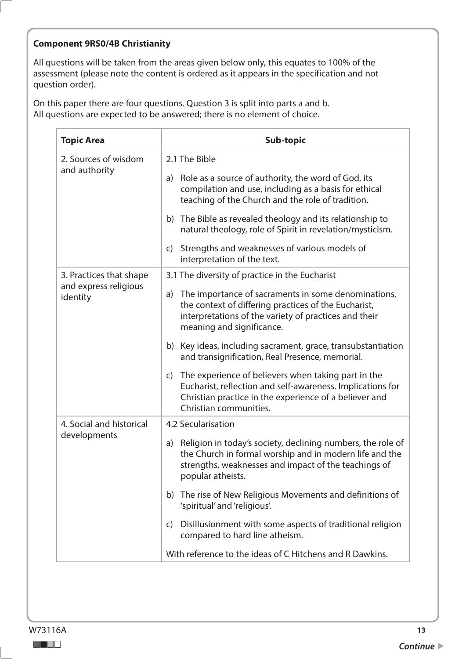#### **Component 9RS0/4B Christianity**

All questions will be taken from the areas given below only, this equates to 100% of the assessment (please note the content is ordered as it appears in the specification and not question order).

| <b>Topic Area</b>                     | Sub-topic                                                                                                                                                                                                             |
|---------------------------------------|-----------------------------------------------------------------------------------------------------------------------------------------------------------------------------------------------------------------------|
| 2. Sources of wisdom<br>and authority | 2.1 The Bible                                                                                                                                                                                                         |
|                                       | Role as a source of authority, the word of God, its<br>a)<br>compilation and use, including as a basis for ethical<br>teaching of the Church and the role of tradition.                                               |
|                                       | b) The Bible as revealed theology and its relationship to<br>natural theology, role of Spirit in revelation/mysticism.                                                                                                |
|                                       | Strengths and weaknesses of various models of<br>$\mathsf{C}$<br>interpretation of the text.                                                                                                                          |
| 3. Practices that shape               | 3.1 The diversity of practice in the Eucharist                                                                                                                                                                        |
| and express religious<br>identity     | The importance of sacraments in some denominations,<br>a)<br>the context of differing practices of the Eucharist,<br>interpretations of the variety of practices and their<br>meaning and significance.               |
|                                       | b) Key ideas, including sacrament, grace, transubstantiation<br>and transignification, Real Presence, memorial.                                                                                                       |
|                                       | The experience of believers when taking part in the<br>$\mathsf{C}$<br>Eucharist, reflection and self-awareness. Implications for<br>Christian practice in the experience of a believer and<br>Christian communities. |
| 4. Social and historical              | 4.2 Secularisation                                                                                                                                                                                                    |
| developments                          | Religion in today's society, declining numbers, the role of<br>a)<br>the Church in formal worship and in modern life and the<br>strengths, weaknesses and impact of the teachings of<br>popular atheists.             |
|                                       | The rise of New Religious Movements and definitions of<br>b)<br>'spiritual' and 'religious'.                                                                                                                          |
|                                       | Disillusionment with some aspects of traditional religion<br>$\mathsf{C}$<br>compared to hard line atheism.                                                                                                           |
|                                       | With reference to the ideas of C Hitchens and R Dawkins.                                                                                                                                                              |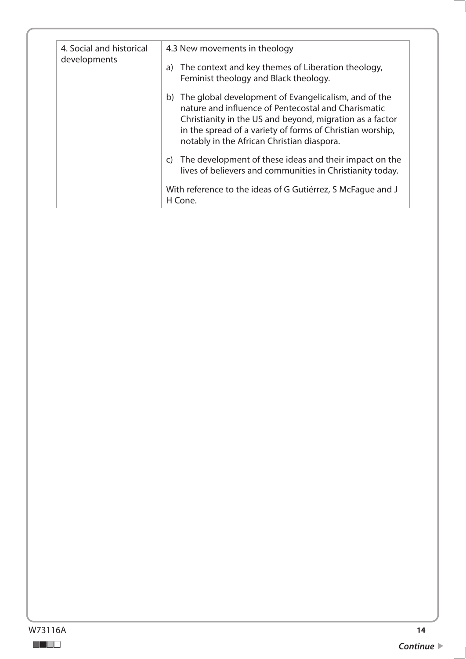| 4. Social and historical<br>developments | 4.3 New movements in theology                                                                                                                                                                                                                                                         |
|------------------------------------------|---------------------------------------------------------------------------------------------------------------------------------------------------------------------------------------------------------------------------------------------------------------------------------------|
|                                          | a) The context and key themes of Liberation theology,<br>Feminist theology and Black theology.                                                                                                                                                                                        |
|                                          | b) The global development of Evangelicalism, and of the<br>nature and influence of Pentecostal and Charismatic<br>Christianity in the US and beyond, migration as a factor<br>in the spread of a variety of forms of Christian worship,<br>notably in the African Christian diaspora. |
|                                          | c) The development of these ideas and their impact on the<br>lives of believers and communities in Christianity today.                                                                                                                                                                |
|                                          | With reference to the ideas of G Gutiérrez, S McFaque and J<br>H Cone.                                                                                                                                                                                                                |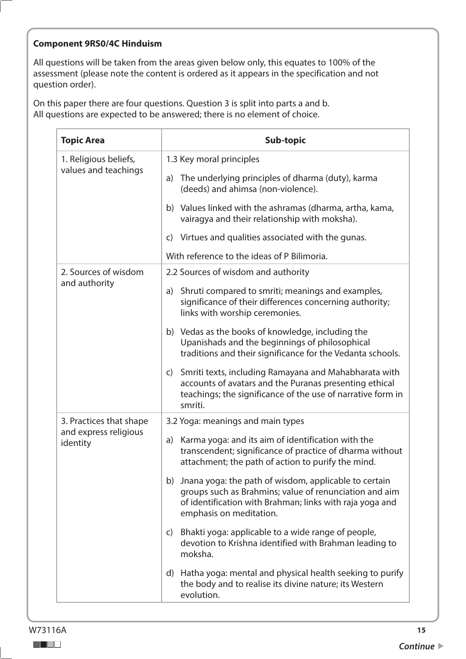#### **Component 9RS0/4C Hinduism**

All questions will be taken from the areas given below only, this equates to 100% of the assessment (please note the content is ordered as it appears in the specification and not question order).

| <b>Topic Area</b>                             | Sub-topic                                                                                                                                                                                                 |
|-----------------------------------------------|-----------------------------------------------------------------------------------------------------------------------------------------------------------------------------------------------------------|
| 1. Religious beliefs,<br>values and teachings | 1.3 Key moral principles                                                                                                                                                                                  |
|                                               | The underlying principles of dharma (duty), karma<br>a)<br>(deeds) and ahimsa (non-violence).                                                                                                             |
|                                               | b) Values linked with the ashramas (dharma, artha, kama,<br>vairagya and their relationship with moksha).                                                                                                 |
|                                               | Virtues and qualities associated with the gunas.<br>C)                                                                                                                                                    |
|                                               | With reference to the ideas of P Bilimoria.                                                                                                                                                               |
| 2. Sources of wisdom                          | 2.2 Sources of wisdom and authority                                                                                                                                                                       |
| and authority                                 | Shruti compared to smriti; meanings and examples,<br>a)<br>significance of their differences concerning authority;<br>links with worship ceremonies.                                                      |
|                                               | b) Vedas as the books of knowledge, including the<br>Upanishads and the beginnings of philosophical<br>traditions and their significance for the Vedanta schools.                                         |
|                                               | c) Smriti texts, including Ramayana and Mahabharata with<br>accounts of avatars and the Puranas presenting ethical<br>teachings; the significance of the use of narrative form in<br>smriti.              |
| 3. Practices that shape                       | 3.2 Yoga: meanings and main types                                                                                                                                                                         |
| and express religious<br>identity             | a) Karma yoga: and its aim of identification with the<br>transcendent; significance of practice of dharma without<br>attachment; the path of action to purify the mind.                                   |
|                                               | b) Jnana yoga: the path of wisdom, applicable to certain<br>groups such as Brahmins; value of renunciation and aim<br>of identification with Brahman; links with raja yoga and<br>emphasis on meditation. |
|                                               | Bhakti yoga: applicable to a wide range of people,<br>$\mathsf{C}$<br>devotion to Krishna identified with Brahman leading to<br>moksha.                                                                   |
|                                               | d) Hatha yoga: mental and physical health seeking to purify<br>the body and to realise its divine nature; its Western<br>evolution.                                                                       |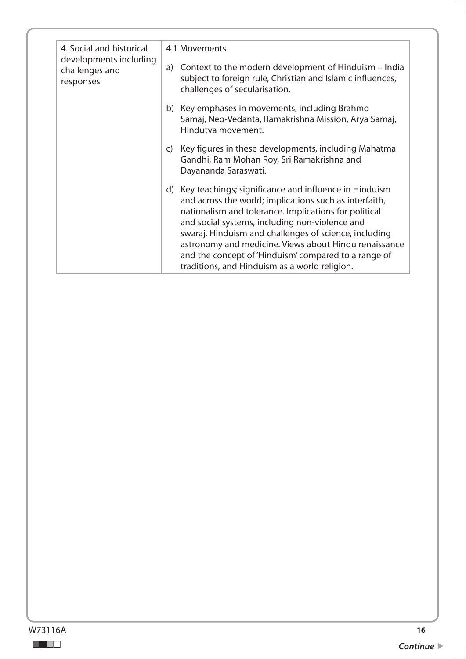| 4. Social and historical<br>developments including<br>challenges and<br>responses | 4.1 Movements                                                                                                                                                                                                                                                                                                                                                                                                                                            |
|-----------------------------------------------------------------------------------|----------------------------------------------------------------------------------------------------------------------------------------------------------------------------------------------------------------------------------------------------------------------------------------------------------------------------------------------------------------------------------------------------------------------------------------------------------|
|                                                                                   | a) Context to the modern development of Hinduism – India<br>subject to foreign rule, Christian and Islamic influences,<br>challenges of secularisation.                                                                                                                                                                                                                                                                                                  |
|                                                                                   | b) Key emphases in movements, including Brahmo<br>Samaj, Neo-Vedanta, Ramakrishna Mission, Arya Samaj,<br>Hindutva movement.                                                                                                                                                                                                                                                                                                                             |
|                                                                                   | Key figures in these developments, including Mahatma<br>$\mathsf{C}$<br>Gandhi, Ram Mohan Roy, Sri Ramakrishna and<br>Dayananda Saraswati.                                                                                                                                                                                                                                                                                                               |
|                                                                                   | d) Key teachings; significance and influence in Hinduism<br>and across the world; implications such as interfaith,<br>nationalism and tolerance. Implications for political<br>and social systems, including non-violence and<br>swaraj. Hinduism and challenges of science, including<br>astronomy and medicine. Views about Hindu renaissance<br>and the concept of 'Hinduism' compared to a range of<br>traditions, and Hinduism as a world religion. |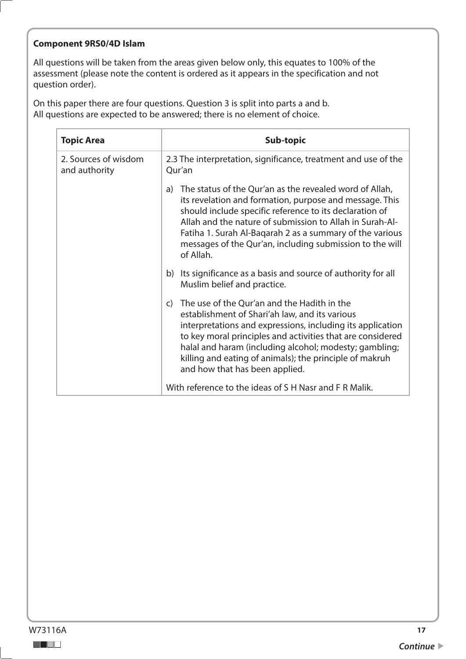#### **Component 9RS0/4D Islam**

All questions will be taken from the areas given below only, this equates to 100% of the assessment (please note the content is ordered as it appears in the specification and not question order).

| <b>Topic Area</b>                     | Sub-topic                                                                                                                                                                                                                                                                                                                                                                                        |
|---------------------------------------|--------------------------------------------------------------------------------------------------------------------------------------------------------------------------------------------------------------------------------------------------------------------------------------------------------------------------------------------------------------------------------------------------|
| 2. Sources of wisdom<br>and authority | 2.3 The interpretation, significance, treatment and use of the<br>Qur'an                                                                                                                                                                                                                                                                                                                         |
|                                       | The status of the Qur'an as the revealed word of Allah,<br>a)<br>its revelation and formation, purpose and message. This<br>should include specific reference to its declaration of<br>Allah and the nature of submission to Allah in Surah-Al-<br>Fatiha 1. Surah Al-Bagarah 2 as a summary of the various<br>messages of the Qur'an, including submission to the will<br>of Allah.             |
|                                       | Its significance as a basis and source of authority for all<br>b)<br>Muslim belief and practice.                                                                                                                                                                                                                                                                                                 |
|                                       | The use of the Qur'an and the Hadith in the<br>$\mathsf{C}$<br>establishment of Shari'ah law, and its various<br>interpretations and expressions, including its application<br>to key moral principles and activities that are considered<br>halal and haram (including alcohol; modesty; gambling;<br>killing and eating of animals); the principle of makruh<br>and how that has been applied. |
|                                       | With reference to the ideas of S H Nasr and F R Malik.                                                                                                                                                                                                                                                                                                                                           |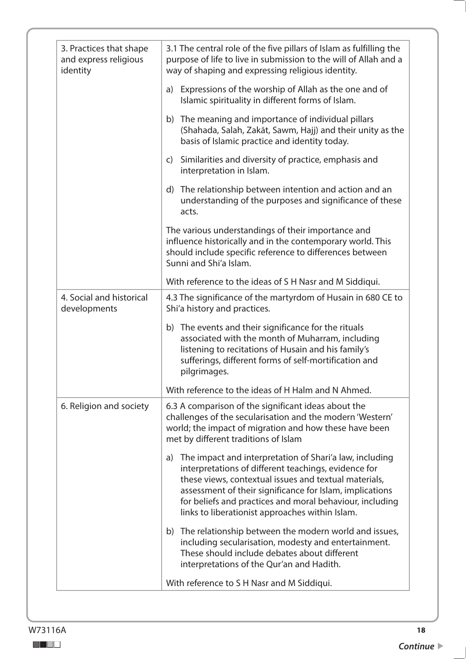| 3. Practices that shape<br>and express religious<br>identity | 3.1 The central role of the five pillars of Islam as fulfilling the<br>purpose of life to live in submission to the will of Allah and a<br>way of shaping and expressing religious identity.                                                                                                                                                              |
|--------------------------------------------------------------|-----------------------------------------------------------------------------------------------------------------------------------------------------------------------------------------------------------------------------------------------------------------------------------------------------------------------------------------------------------|
|                                                              | Expressions of the worship of Allah as the one and of<br>a)<br>Islamic spirituality in different forms of Islam.                                                                                                                                                                                                                                          |
|                                                              | b) The meaning and importance of individual pillars<br>(Shahada, Salah, Zakāt, Sawm, Hajj) and their unity as the<br>basis of Islamic practice and identity today.                                                                                                                                                                                        |
|                                                              | c) Similarities and diversity of practice, emphasis and<br>interpretation in Islam.                                                                                                                                                                                                                                                                       |
|                                                              | d) The relationship between intention and action and an<br>understanding of the purposes and significance of these<br>acts.                                                                                                                                                                                                                               |
|                                                              | The various understandings of their importance and<br>influence historically and in the contemporary world. This<br>should include specific reference to differences between<br>Sunni and Shi'a Islam.                                                                                                                                                    |
|                                                              | With reference to the ideas of S H Nasr and M Siddiqui.                                                                                                                                                                                                                                                                                                   |
| 4. Social and historical<br>developments                     | 4.3 The significance of the martyrdom of Husain in 680 CE to<br>Shi'a history and practices.                                                                                                                                                                                                                                                              |
|                                                              | b) The events and their significance for the rituals<br>associated with the month of Muharram, including<br>listening to recitations of Husain and his family's<br>sufferings, different forms of self-mortification and<br>pilgrimages.                                                                                                                  |
|                                                              | With reference to the ideas of H Halm and N Ahmed.                                                                                                                                                                                                                                                                                                        |
| 6. Religion and society                                      | 6.3 A comparison of the significant ideas about the<br>challenges of the secularisation and the modern 'Western'<br>world; the impact of migration and how these have been<br>met by different traditions of Islam                                                                                                                                        |
|                                                              | The impact and interpretation of Shari'a law, including<br>a)<br>interpretations of different teachings, evidence for<br>these views, contextual issues and textual materials,<br>assessment of their significance for Islam, implications<br>for beliefs and practices and moral behaviour, including<br>links to liberationist approaches within Islam. |
|                                                              | b) The relationship between the modern world and issues,<br>including secularisation, modesty and entertainment.<br>These should include debates about different                                                                                                                                                                                          |
|                                                              | interpretations of the Qur'an and Hadith.                                                                                                                                                                                                                                                                                                                 |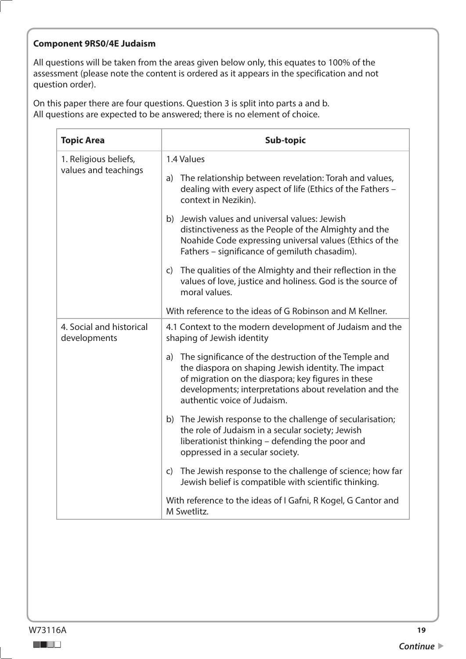# **Component 9RS0/4E Judaism**

All questions will be taken from the areas given below only, this equates to 100% of the assessment (please note the content is ordered as it appears in the specification and not question order).

| <b>Topic Area</b>                             | Sub-topic                                                                                                                                                                                                                                                      |
|-----------------------------------------------|----------------------------------------------------------------------------------------------------------------------------------------------------------------------------------------------------------------------------------------------------------------|
| 1. Religious beliefs,<br>values and teachings | 1.4 Values                                                                                                                                                                                                                                                     |
|                                               | The relationship between revelation: Torah and values,<br>a)<br>dealing with every aspect of life (Ethics of the Fathers -<br>context in Nezikin).                                                                                                             |
|                                               | b) Jewish values and universal values: Jewish<br>distinctiveness as the People of the Almighty and the<br>Noahide Code expressing universal values (Ethics of the<br>Fathers - significance of gemiluth chasadim).                                             |
|                                               | The qualities of the Almighty and their reflection in the<br>$\mathsf{C}$<br>values of love, justice and holiness. God is the source of<br>moral values.                                                                                                       |
|                                               | With reference to the ideas of G Robinson and M Kellner.                                                                                                                                                                                                       |
| 4. Social and historical<br>developments      | 4.1 Context to the modern development of Judaism and the<br>shaping of Jewish identity                                                                                                                                                                         |
|                                               | a) The significance of the destruction of the Temple and<br>the diaspora on shaping Jewish identity. The impact<br>of migration on the diaspora; key figures in these<br>developments; interpretations about revelation and the<br>authentic voice of Judaism. |
|                                               | b) The Jewish response to the challenge of secularisation;<br>the role of Judaism in a secular society; Jewish<br>liberationist thinking - defending the poor and<br>oppressed in a secular society.                                                           |
|                                               | The Jewish response to the challenge of science; how far<br>$\mathsf{C}$<br>Jewish belief is compatible with scientific thinking.                                                                                                                              |
|                                               | With reference to the ideas of I Gafni, R Kogel, G Cantor and<br>M Swetlitz.                                                                                                                                                                                   |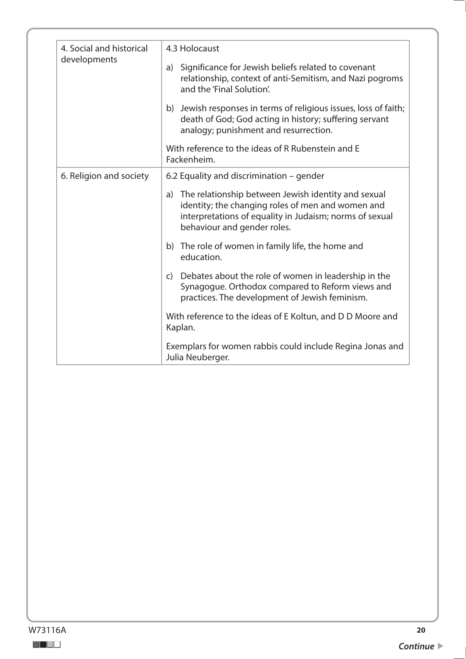| 4. Social and historical | 4.3 Holocaust                                                                                                                                                                                         |
|--------------------------|-------------------------------------------------------------------------------------------------------------------------------------------------------------------------------------------------------|
| developments             | Significance for Jewish beliefs related to covenant<br>a)<br>relationship, context of anti-Semitism, and Nazi pogroms<br>and the 'Final Solution'.                                                    |
|                          | b) Jewish responses in terms of religious issues, loss of faith;<br>death of God; God acting in history; suffering servant<br>analogy; punishment and resurrection.                                   |
|                          | With reference to the ideas of R Rubenstein and E<br>Fackenheim.                                                                                                                                      |
| 6. Religion and society  | 6.2 Equality and discrimination – gender                                                                                                                                                              |
|                          | a) The relationship between Jewish identity and sexual<br>identity; the changing roles of men and women and<br>interpretations of equality in Judaism; norms of sexual<br>behaviour and gender roles. |
|                          | b) The role of women in family life, the home and<br>education.                                                                                                                                       |
|                          | c) Debates about the role of women in leadership in the<br>Synagogue. Orthodox compared to Reform views and<br>practices. The development of Jewish feminism.                                         |
|                          | With reference to the ideas of E Koltun, and D D Moore and<br>Kaplan.                                                                                                                                 |
|                          | Exemplars for women rabbis could include Regina Jonas and<br>Julia Neuberger.                                                                                                                         |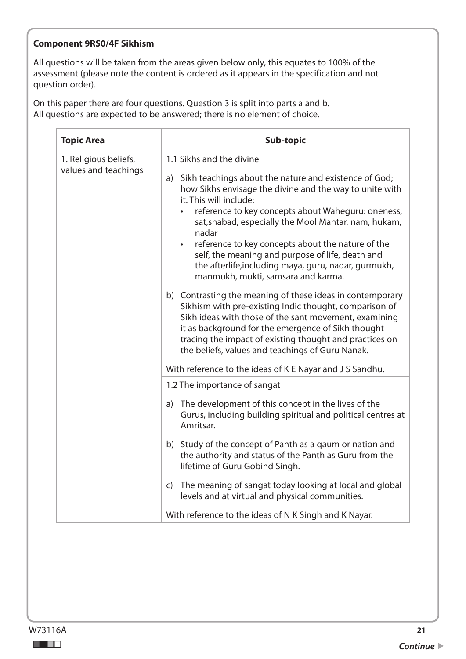#### **Component 9RS0/4F Sikhism**

All questions will be taken from the areas given below only, this equates to 100% of the assessment (please note the content is ordered as it appears in the specification and not question order).

| <b>Topic Area</b>                             | Sub-topic                                                                                                                                                                                                                                                                                                                                                                                                                                                                                   |
|-----------------------------------------------|---------------------------------------------------------------------------------------------------------------------------------------------------------------------------------------------------------------------------------------------------------------------------------------------------------------------------------------------------------------------------------------------------------------------------------------------------------------------------------------------|
| 1. Religious beliefs,<br>values and teachings | 1.1 Sikhs and the divine                                                                                                                                                                                                                                                                                                                                                                                                                                                                    |
|                                               | Sikh teachings about the nature and existence of God;<br>a)<br>how Sikhs envisage the divine and the way to unite with<br>it. This will include:<br>reference to key concepts about Waheguru: oneness,<br>sat, shabad, especially the Mool Mantar, nam, hukam,<br>nadar<br>reference to key concepts about the nature of the<br>$\bullet$<br>self, the meaning and purpose of life, death and<br>the afterlife, including maya, guru, nadar, gurmukh,<br>manmukh, mukti, samsara and karma. |
|                                               | b) Contrasting the meaning of these ideas in contemporary<br>Sikhism with pre-existing Indic thought, comparison of<br>Sikh ideas with those of the sant movement, examining<br>it as background for the emergence of Sikh thought<br>tracing the impact of existing thought and practices on<br>the beliefs, values and teachings of Guru Nanak.                                                                                                                                           |
|                                               | With reference to the ideas of K E Nayar and J S Sandhu.                                                                                                                                                                                                                                                                                                                                                                                                                                    |
|                                               | 1.2 The importance of sangat                                                                                                                                                                                                                                                                                                                                                                                                                                                                |
|                                               | a) The development of this concept in the lives of the<br>Gurus, including building spiritual and political centres at<br>Amritsar.                                                                                                                                                                                                                                                                                                                                                         |
|                                               | b) Study of the concept of Panth as a gaum or nation and<br>the authority and status of the Panth as Guru from the<br>lifetime of Guru Gobind Singh.                                                                                                                                                                                                                                                                                                                                        |
|                                               | The meaning of sangat today looking at local and global<br>$\mathsf{C}$<br>levels and at virtual and physical communities.                                                                                                                                                                                                                                                                                                                                                                  |
|                                               | With reference to the ideas of N K Singh and K Nayar.                                                                                                                                                                                                                                                                                                                                                                                                                                       |